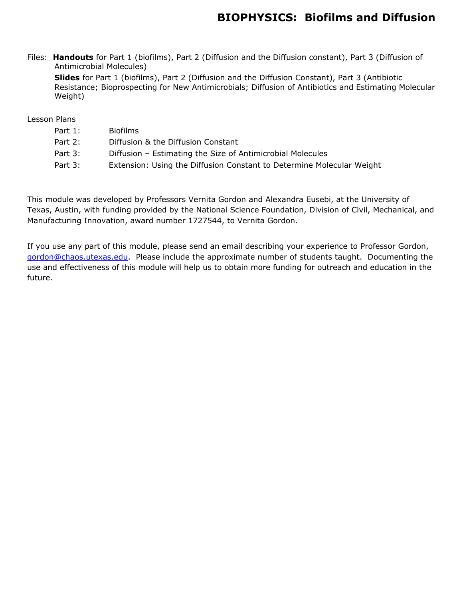### **BIOPHYSICS: Biofilms and Diffusion**

Files: **Handouts** for Part 1 (biofilms), Part 2 (Diffusion and the Diffusion constant), Part 3 (Diffusion of Antimicrobial Molecules)

**Slides** for Part 1 (biofilms), Part 2 (Diffusion and the Diffusion Constant), Part 3 (Antibiotic Resistance; Bioprospecting for New Antimicrobials; Diffusion of Antibiotics and Estimating Molecular Weight)

### Lesson Plans

| Part $1:$ | <b>Biofilms</b>                                                       |
|-----------|-----------------------------------------------------------------------|
| Part 2:   | Diffusion & the Diffusion Constant                                    |
| Part 3:   | Diffusion - Estimating the Size of Antimicrobial Molecules            |
| Part 3:   | Extension: Using the Diffusion Constant to Determine Molecular Weight |
|           |                                                                       |

This module was developed by Professors Vernita Gordon and Alexandra Eusebi, at the University of Texas, Austin, with funding provided by the National Science Foundation, Division of Civil, Mechanical, and Manufacturing Innovation, award number 1727544, to Vernita Gordon.

If you use any part of this module, please send an email describing your experience to Professor Gordon, gordon@chaos.utexas.edu. Please include the approximate number of students taught. Documenting the use and effectiveness of this module will help us to obtain more funding for outreach and education in the future.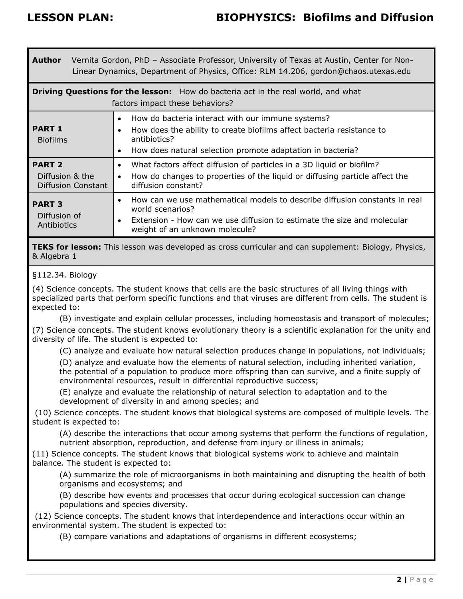| Vernita Gordon, PhD - Associate Professor, University of Texas at Austin, Center for Non-<br>Author<br>Linear Dynamics, Department of Physics, Office: RLM 14.206, gordon@chaos.utexas.edu |                                                                                                                                                                                                                                       |  |  |  |
|--------------------------------------------------------------------------------------------------------------------------------------------------------------------------------------------|---------------------------------------------------------------------------------------------------------------------------------------------------------------------------------------------------------------------------------------|--|--|--|
| <b>Driving Questions for the lesson:</b> How do bacteria act in the real world, and what<br>factors impact these behaviors?                                                                |                                                                                                                                                                                                                                       |  |  |  |
| <b>PART 1</b><br><b>Biofilms</b>                                                                                                                                                           | How do bacteria interact with our immune systems?<br>$\bullet$<br>How does the ability to create biofilms affect bacteria resistance to<br>antibiotics?<br>How does natural selection promote adaptation in bacteria?<br>$\bullet$    |  |  |  |
| <b>PART 2</b><br>Diffusion & the<br>Diffusion Constant                                                                                                                                     | What factors affect diffusion of particles in a 3D liquid or biofilm?<br>$\bullet$<br>How do changes to properties of the liquid or diffusing particle affect the<br>$\bullet$<br>diffusion constant?                                 |  |  |  |
| <b>PART 3</b><br>Diffusion of<br>Antibiotics                                                                                                                                               | How can we use mathematical models to describe diffusion constants in real<br>$\bullet$<br>world scenarios?<br>Extension - How can we use diffusion to estimate the size and molecular<br>$\bullet$<br>weight of an unknown molecule? |  |  |  |

**TEKS for lesson:** This lesson was developed as cross curricular and can supplement: Biology, Physics, & Algebra 1

### §112.34. Biology

(4) Science concepts. The student knows that cells are the basic structures of all living things with specialized parts that perform specific functions and that viruses are different from cells. The student is expected to:

(B) investigate and explain cellular processes, including homeostasis and transport of molecules; (7) Science concepts. The student knows evolutionary theory is a scientific explanation for the unity and diversity of life. The student is expected to:

(C) analyze and evaluate how natural selection produces change in populations, not individuals;

(D) analyze and evaluate how the elements of natural selection, including inherited variation, the potential of a population to produce more offspring than can survive, and a finite supply of environmental resources, result in differential reproductive success;

(E) analyze and evaluate the relationship of natural selection to adaptation and to the development of diversity in and among species; and

 (10) Science concepts. The student knows that biological systems are composed of multiple levels. The student is expected to:

(A) describe the interactions that occur among systems that perform the functions of regulation, nutrient absorption, reproduction, and defense from injury or illness in animals;

(11) Science concepts. The student knows that biological systems work to achieve and maintain balance. The student is expected to:

(A) summarize the role of microorganisms in both maintaining and disrupting the health of both organisms and ecosystems; and

(B) describe how events and processes that occur during ecological succession can change populations and species diversity.

 (12) Science concepts. The student knows that interdependence and interactions occur within an environmental system. The student is expected to:

(B) compare variations and adaptations of organisms in different ecosystems;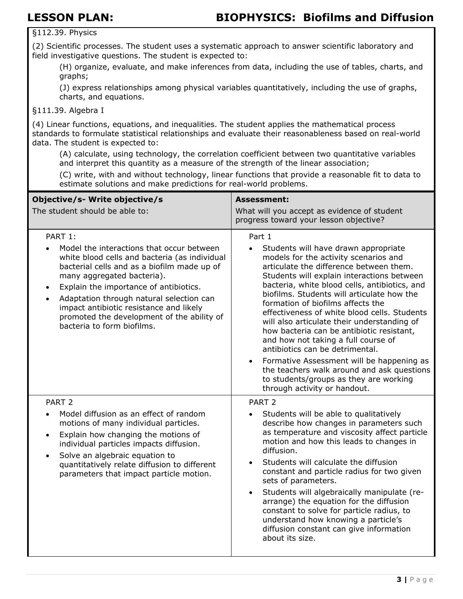§112.39. Physics

(2) Scientific processes. The student uses a systematic approach to answer scientific laboratory and field investigative questions. The student is expected to:

(H) organize, evaluate, and make inferences from data, including the use of tables, charts, and graphs;

(J) express relationships among physical variables quantitatively, including the use of graphs, charts, and equations.

### §111.39. Algebra I

(4) Linear functions, equations, and inequalities. The student applies the mathematical process standards to formulate statistical relationships and evaluate their reasonableness based on real-world data. The student is expected to:

(A) calculate, using technology, the correlation coefficient between two quantitative variables and interpret this quantity as a measure of the strength of the linear association;

(C) write, with and without technology, linear functions that provide a reasonable fit to data to estimate solutions and make predictions for real-world problems.

| Objective/s- Write objective/s<br>The student should be able to:                                                                                                                                                                                                                                                                                                                                                          | <b>Assessment:</b><br>What will you accept as evidence of student<br>progress toward your lesson objective?                                                                                                                                                                                                                                                                                                                                                                                                                                                                                                                                                                                                                               |
|---------------------------------------------------------------------------------------------------------------------------------------------------------------------------------------------------------------------------------------------------------------------------------------------------------------------------------------------------------------------------------------------------------------------------|-------------------------------------------------------------------------------------------------------------------------------------------------------------------------------------------------------------------------------------------------------------------------------------------------------------------------------------------------------------------------------------------------------------------------------------------------------------------------------------------------------------------------------------------------------------------------------------------------------------------------------------------------------------------------------------------------------------------------------------------|
| PART 1:<br>Model the interactions that occur between<br>white blood cells and bacteria (as individual<br>bacterial cells and as a biofilm made up of<br>many aggregated bacteria).<br>Explain the importance of antibiotics.<br>$\bullet$<br>Adaptation through natural selection can<br>$\bullet$<br>impact antibiotic resistance and likely<br>promoted the development of the ability of<br>bacteria to form biofilms. | Part 1<br>Students will have drawn appropriate<br>$\bullet$<br>models for the activity scenarios and<br>articulate the difference between them.<br>Students will explain interactions between<br>bacteria, white blood cells, antibiotics, and<br>biofilms. Students will articulate how the<br>formation of biofilms affects the<br>effectiveness of white blood cells. Students<br>will also articulate their understanding of<br>how bacteria can be antibiotic resistant,<br>and how not taking a full course of<br>antibiotics can be detrimental.<br>Formative Assessment will be happening as<br>$\bullet$<br>the teachers walk around and ask questions<br>to students/groups as they are working<br>through activity or handout. |
| PART <sub>2</sub><br>Model diffusion as an effect of random<br>$\bullet$<br>motions of many individual particles.<br>Explain how changing the motions of<br>$\bullet$<br>individual particles impacts diffusion.<br>Solve an algebraic equation to<br>$\bullet$<br>quantitatively relate diffusion to different<br>parameters that impact particle motion.                                                                | PART <sub>2</sub><br>Students will be able to qualitatively<br>$\bullet$<br>describe how changes in parameters such<br>as temperature and viscosity affect particle<br>motion and how this leads to changes in<br>diffusion.<br>Students will calculate the diffusion<br>$\bullet$<br>constant and particle radius for two given<br>sets of parameters.<br>Students will algebraically manipulate (re-<br>$\bullet$<br>arrange) the equation for the diffusion<br>constant to solve for particle radius, to<br>understand how knowing a particle's<br>diffusion constant can give information<br>about its size.                                                                                                                          |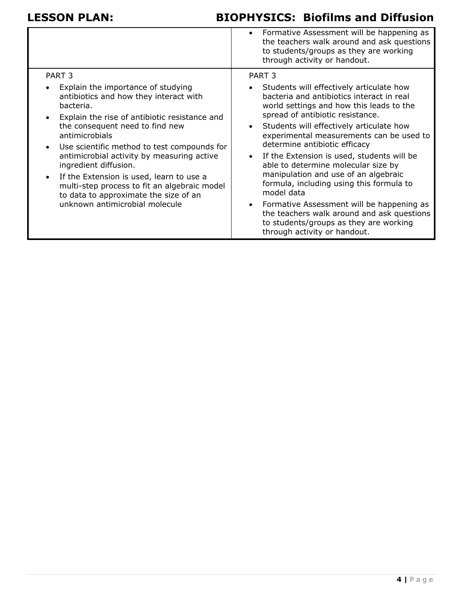|                                                                                                                                                                                                                                                                                                                                                                                                                                                                                                                                                                       | • Formative Assessment will be happening as<br>the teachers walk around and ask questions<br>to students/groups as they are working<br>through activity or handout.                                                                                                                                                                                                                                                                                                                                                                                                                                                                                                               |
|-----------------------------------------------------------------------------------------------------------------------------------------------------------------------------------------------------------------------------------------------------------------------------------------------------------------------------------------------------------------------------------------------------------------------------------------------------------------------------------------------------------------------------------------------------------------------|-----------------------------------------------------------------------------------------------------------------------------------------------------------------------------------------------------------------------------------------------------------------------------------------------------------------------------------------------------------------------------------------------------------------------------------------------------------------------------------------------------------------------------------------------------------------------------------------------------------------------------------------------------------------------------------|
| PART <sub>3</sub><br>Explain the importance of studying<br>$\bullet$<br>antibiotics and how they interact with<br>bacteria.<br>Explain the rise of antibiotic resistance and<br>$\bullet$<br>the consequent need to find new<br>antimicrobials<br>Use scientific method to test compounds for<br>$\bullet$<br>antimicrobial activity by measuring active<br>ingredient diffusion.<br>If the Extension is used, learn to use a<br>$\bullet$<br>multi-step process to fit an algebraic model<br>to data to approximate the size of an<br>unknown antimicrobial molecule | PART <sub>3</sub><br>• Students will effectively articulate how<br>bacteria and antibiotics interact in real<br>world settings and how this leads to the<br>spread of antibiotic resistance.<br>Students will effectively articulate how<br>experimental measurements can be used to<br>determine antibiotic efficacy<br>If the Extension is used, students will be<br>able to determine molecular size by<br>manipulation and use of an algebraic<br>formula, including using this formula to<br>model data<br>Formative Assessment will be happening as<br>the teachers walk around and ask questions<br>to students/groups as they are working<br>through activity or handout. |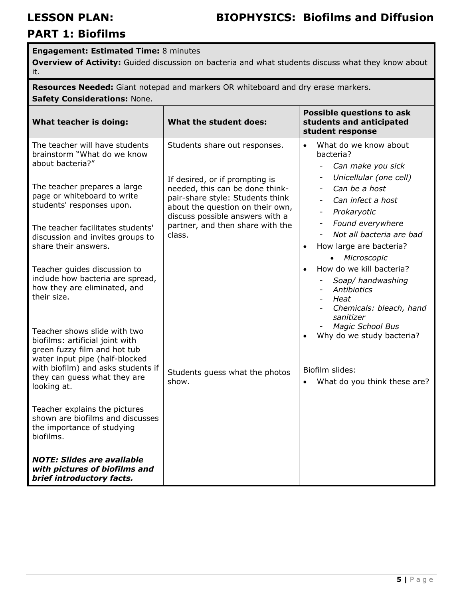### **Engagement: Estimated Time:** 8 minutes

**Overview of Activity:** Guided discussion on bacteria and what students discuss what they know about it.

**Resources Needed:** Giant notepad and markers OR whiteboard and dry erase markers. **Safety Considerations:** None.

| What teacher is doing:                                                                                                                                                                                                                                                                                                                                                                                                                                    | What the student does:                                                                                                                                                                                                                                      | <b>Possible questions to ask</b><br>students and anticipated<br>student response                                                                                                                                                                                                                                                                 |
|-----------------------------------------------------------------------------------------------------------------------------------------------------------------------------------------------------------------------------------------------------------------------------------------------------------------------------------------------------------------------------------------------------------------------------------------------------------|-------------------------------------------------------------------------------------------------------------------------------------------------------------------------------------------------------------------------------------------------------------|--------------------------------------------------------------------------------------------------------------------------------------------------------------------------------------------------------------------------------------------------------------------------------------------------------------------------------------------------|
| The teacher will have students<br>brainstorm "What do we know<br>about bacteria?"<br>The teacher prepares a large<br>page or whiteboard to write<br>students' responses upon.<br>The teacher facilitates students'<br>discussion and invites groups to<br>share their answers.                                                                                                                                                                            | Students share out responses.<br>If desired, or if prompting is<br>needed, this can be done think-<br>pair-share style: Students think<br>about the question on their own,<br>discuss possible answers with a<br>partner, and then share with the<br>class. | What do we know about<br>$\bullet$<br>bacteria?<br>Can make you sick<br>$\overline{\phantom{0}}$<br>Unicellular (one cell)<br>Can be a host<br>$\overline{\phantom{a}}$<br>Can infect a host<br>Prokaryotic<br>Found everywhere<br>$\overline{\phantom{a}}$<br>Not all bacteria are bad<br>How large are bacteria?<br>$\bullet$<br>• Microscopic |
| Teacher guides discussion to<br>include how bacteria are spread,<br>how they are eliminated, and<br>their size.<br>Teacher shows slide with two<br>biofilms: artificial joint with<br>green fuzzy film and hot tub<br>water input pipe (half-blocked<br>with biofilm) and asks students if<br>they can guess what they are<br>looking at.<br>Teacher explains the pictures<br>shown are biofilms and discusses<br>the importance of studying<br>biofilms. | Students guess what the photos<br>show.                                                                                                                                                                                                                     | How do we kill bacteria?<br>Soap/ handwashing<br>Antibiotics<br>Heat<br>Chemicals: bleach, hand<br>sanitizer<br><b>Magic School Bus</b><br>Why do we study bacteria?<br>Biofilm slides:<br>What do you think these are?<br>$\bullet$                                                                                                             |
| <b>NOTE: Slides are available</b><br>with pictures of biofilms and<br>brief introductory facts.                                                                                                                                                                                                                                                                                                                                                           |                                                                                                                                                                                                                                                             |                                                                                                                                                                                                                                                                                                                                                  |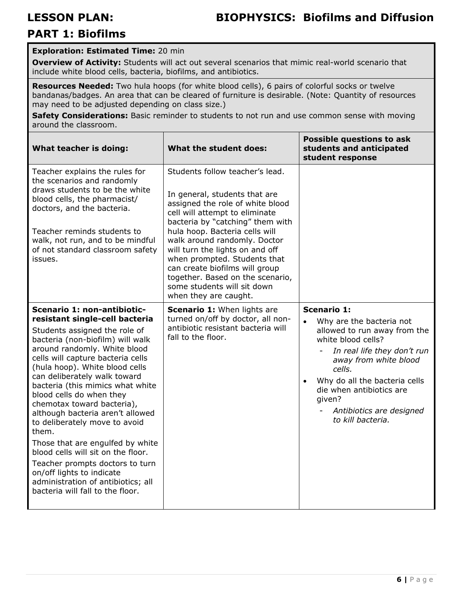### **Exploration: Estimated Time:** 20 min

**Overview of Activity:** Students will act out several scenarios that mimic real-world scenario that include white blood cells, bacteria, biofilms, and antibiotics.

**Resources Needed:** Two hula hoops (for white blood cells), 6 pairs of colorful socks or twelve bandanas/badges. An area that can be cleared of furniture is desirable. (Note: Quantity of resources may need to be adjusted depending on class size.)

Safety Considerations: Basic reminder to students to not run and use common sense with moving around the classroom.

| What teacher is doing:                                                                                                                                                                                                                                                                                                                                                                                                                                                                                                                                                                                                                                                    | What the student does:                                                                                                                                                                                                                                                                                                                                                                                                                        | <b>Possible questions to ask</b><br>students and anticipated<br>student response                                                                                                                                                                                                               |
|---------------------------------------------------------------------------------------------------------------------------------------------------------------------------------------------------------------------------------------------------------------------------------------------------------------------------------------------------------------------------------------------------------------------------------------------------------------------------------------------------------------------------------------------------------------------------------------------------------------------------------------------------------------------------|-----------------------------------------------------------------------------------------------------------------------------------------------------------------------------------------------------------------------------------------------------------------------------------------------------------------------------------------------------------------------------------------------------------------------------------------------|------------------------------------------------------------------------------------------------------------------------------------------------------------------------------------------------------------------------------------------------------------------------------------------------|
| Teacher explains the rules for<br>the scenarios and randomly<br>draws students to be the white<br>blood cells, the pharmacist/<br>doctors, and the bacteria.<br>Teacher reminds students to<br>walk, not run, and to be mindful<br>of not standard classroom safety<br>issues.                                                                                                                                                                                                                                                                                                                                                                                            | Students follow teacher's lead.<br>In general, students that are<br>assigned the role of white blood<br>cell will attempt to eliminate<br>bacteria by "catching" them with<br>hula hoop. Bacteria cells will<br>walk around randomly. Doctor<br>will turn the lights on and off<br>when prompted. Students that<br>can create biofilms will group<br>together. Based on the scenario,<br>some students will sit down<br>when they are caught. |                                                                                                                                                                                                                                                                                                |
| Scenario 1: non-antibiotic-<br>resistant single-cell bacteria<br>Students assigned the role of<br>bacteria (non-biofilm) will walk<br>around randomly. White blood<br>cells will capture bacteria cells<br>(hula hoop). White blood cells<br>can deliberately walk toward<br>bacteria (this mimics what white<br>blood cells do when they<br>chemotax toward bacteria),<br>although bacteria aren't allowed<br>to deliberately move to avoid<br>them.<br>Those that are engulfed by white<br>blood cells will sit on the floor.<br>Teacher prompts doctors to turn<br>on/off lights to indicate<br>administration of antibiotics; all<br>bacteria will fall to the floor. | <b>Scenario 1:</b> When lights are<br>turned on/off by doctor, all non-<br>antibiotic resistant bacteria will<br>fall to the floor.                                                                                                                                                                                                                                                                                                           | <b>Scenario 1:</b><br>Why are the bacteria not<br>allowed to run away from the<br>white blood cells?<br>In real life they don't run<br>away from white blood<br>cells.<br>Why do all the bacteria cells<br>die when antibiotics are<br>given?<br>Antibiotics are designed<br>to kill bacteria. |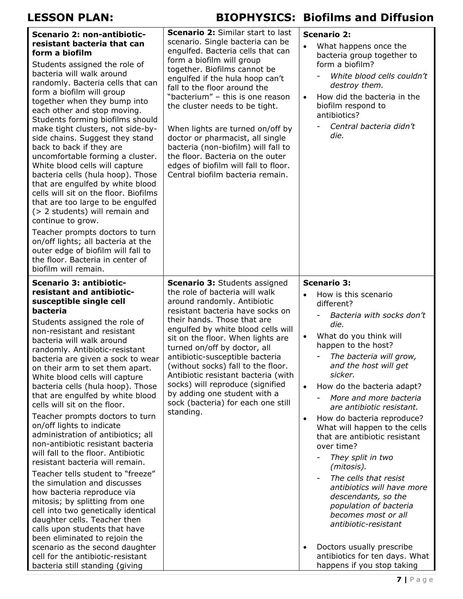| Scenario 2: non-antibiotic-<br>resistant bacteria that can<br>form a biofilm<br>Students assigned the role of<br>bacteria will walk around<br>randomly. Bacteria cells that can<br>form a biofilm will group<br>together when they bump into<br>each other and stop moving.<br>Students forming biofilms should<br>make tight clusters, not side-by-<br>side chains. Suggest they stand<br>back to back if they are<br>uncomfortable forming a cluster.<br>White blood cells will capture<br>bacteria cells (hula hoop). Those<br>that are engulfed by white blood<br>cells will sit on the floor. Biofilms<br>that are too large to be engulfed<br>(> 2 students) will remain and<br>continue to grow.<br>Teacher prompts doctors to turn<br>on/off lights; all bacteria at the<br>outer edge of biofilm will fall to<br>the floor. Bacteria in center of<br>biofilm will remain.                                                                                                                                                                         | <b>Scenario 2: Similar start to last</b><br>scenario. Single bacteria can be<br>engulfed. Bacteria cells that can<br>form a biofilm will group<br>together. Biofilms cannot be<br>engulfed if the hula hoop can't<br>fall to the floor around the<br>"bacterium" - this is one reason<br>the cluster needs to be tight.<br>When lights are turned on/off by<br>doctor or pharmacist, all single<br>bacteria (non-biofilm) will fall to<br>the floor. Bacteria on the outer<br>edges of biofilm will fall to floor.<br>Central biofilm bacteria remain. | <b>Scenario 2:</b><br>What happens once the<br>$\bullet$<br>bacteria group together to<br>form a biofilm?<br>White blood cells couldn't<br>destroy them.<br>How did the bacteria in the<br>$\bullet$<br>biofilm respond to<br>antibiotics?<br>Central bacteria didn't<br>die.                                                                                                                                                                                                                                                                                                                                                                                                                                                                               |
|------------------------------------------------------------------------------------------------------------------------------------------------------------------------------------------------------------------------------------------------------------------------------------------------------------------------------------------------------------------------------------------------------------------------------------------------------------------------------------------------------------------------------------------------------------------------------------------------------------------------------------------------------------------------------------------------------------------------------------------------------------------------------------------------------------------------------------------------------------------------------------------------------------------------------------------------------------------------------------------------------------------------------------------------------------|--------------------------------------------------------------------------------------------------------------------------------------------------------------------------------------------------------------------------------------------------------------------------------------------------------------------------------------------------------------------------------------------------------------------------------------------------------------------------------------------------------------------------------------------------------|-------------------------------------------------------------------------------------------------------------------------------------------------------------------------------------------------------------------------------------------------------------------------------------------------------------------------------------------------------------------------------------------------------------------------------------------------------------------------------------------------------------------------------------------------------------------------------------------------------------------------------------------------------------------------------------------------------------------------------------------------------------|
| Scenario 3: antibiotic-<br>resistant and antibiotic-<br>susceptible single cell<br>bacteria<br>Students assigned the role of<br>non-resistant and resistant<br>bacteria will walk around<br>randomly. Antibiotic-resistant<br>bacteria are given a sock to wear<br>on their arm to set them apart.<br>White blood cells will capture<br>bacteria cells (hula hoop). Those<br>that are engulfed by white blood<br>cells will sit on the floor.<br>Teacher prompts doctors to turn<br>on/off lights to indicate<br>administration of antibiotics; all<br>non-antibiotic resistant bacteria<br>will fall to the floor. Antibiotic<br>resistant bacteria will remain.<br>Teacher tells student to "freeze"<br>the simulation and discusses<br>how bacteria reproduce via<br>mitosis; by splitting from one<br>cell into two genetically identical<br>daughter cells. Teacher then<br>calls upon students that have<br>been eliminated to rejoin the<br>scenario as the second daughter<br>cell for the antibiotic-resistant<br>bacteria still standing (giving | <b>Scenario 3: Students assigned</b><br>the role of bacteria will walk<br>around randomly. Antibiotic<br>resistant bacteria have socks on<br>their hands. Those that are<br>engulfed by white blood cells will<br>sit on the floor. When lights are<br>turned on/off by doctor, all<br>antibiotic-susceptible bacteria<br>(without socks) fall to the floor.<br>Antibiotic resistant bacteria (with<br>socks) will reproduce (signified<br>by adding one student with a<br>sock (bacteria) for each one still<br>standing.                             | <b>Scenario 3:</b><br>How is this scenario<br>$\bullet$<br>different?<br>Bacteria with socks don't<br>die.<br>What do you think will<br>$\bullet$<br>happen to the host?<br>The bacteria will grow,<br>and the host will get<br>sicker.<br>How do the bacteria adapt?<br>$\bullet$<br>More and more bacteria<br>are antibiotic resistant.<br>How do bacteria reproduce?<br>$\bullet$<br>What will happen to the cells<br>that are antibiotic resistant<br>over time?<br>They split in two<br>(mitosis).<br>The cells that resist<br>antibiotics will have more<br>descendants, so the<br>population of bacteria<br>becomes most or all<br>antibiotic-resistant<br>Doctors usually prescribe<br>antibiotics for ten days. What<br>happens if you stop taking |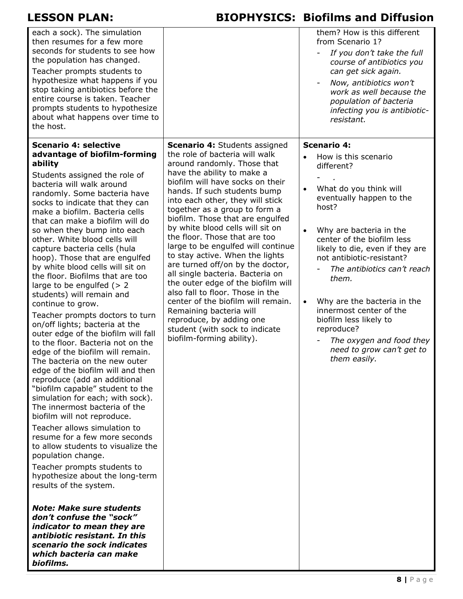| each a sock). The simulation<br>then resumes for a few more<br>seconds for students to see how<br>the population has changed.<br>Teacher prompts students to<br>hypothesize what happens if you<br>stop taking antibiotics before the<br>entire course is taken. Teacher<br>prompts students to hypothesize<br>about what happens over time to<br>the host.                                                                                                                                                                                                                                                                                                                                                                                                                                                                                                                                                                                                                                                                                                                                                                                                                                                                                                                                                                                                                                                                         |                                                                                                                                                                                                                                                                                                                                                                                                                                                                                                                                                                                                                                                                                                                                                                              | them? How is this different<br>from Scenario 1?<br>If you don't take the full<br>course of antibiotics you<br>can get sick again.<br>Now, antibiotics won't<br>work as well because the<br>population of bacteria<br>infecting you is antibiotic-<br>resistant.                                                                                                                                                                                                                                            |
|-------------------------------------------------------------------------------------------------------------------------------------------------------------------------------------------------------------------------------------------------------------------------------------------------------------------------------------------------------------------------------------------------------------------------------------------------------------------------------------------------------------------------------------------------------------------------------------------------------------------------------------------------------------------------------------------------------------------------------------------------------------------------------------------------------------------------------------------------------------------------------------------------------------------------------------------------------------------------------------------------------------------------------------------------------------------------------------------------------------------------------------------------------------------------------------------------------------------------------------------------------------------------------------------------------------------------------------------------------------------------------------------------------------------------------------|------------------------------------------------------------------------------------------------------------------------------------------------------------------------------------------------------------------------------------------------------------------------------------------------------------------------------------------------------------------------------------------------------------------------------------------------------------------------------------------------------------------------------------------------------------------------------------------------------------------------------------------------------------------------------------------------------------------------------------------------------------------------------|------------------------------------------------------------------------------------------------------------------------------------------------------------------------------------------------------------------------------------------------------------------------------------------------------------------------------------------------------------------------------------------------------------------------------------------------------------------------------------------------------------|
| Scenario 4: selective<br>advantage of biofilm-forming<br>ability<br>Students assigned the role of<br>bacteria will walk around<br>randomly. Some bacteria have<br>socks to indicate that they can<br>make a biofilm. Bacteria cells<br>that can make a biofilm will do<br>so when they bump into each<br>other. White blood cells will<br>capture bacteria cells (hula<br>hoop). Those that are engulfed<br>by white blood cells will sit on<br>the floor. Biofilms that are too<br>large to be engulfed $(> 2)$<br>students) will remain and<br>continue to grow.<br>Teacher prompts doctors to turn<br>on/off lights; bacteria at the<br>outer edge of the biofilm will fall<br>to the floor. Bacteria not on the<br>edge of the biofilm will remain.<br>The bacteria on the new outer<br>edge of the biofilm will and then<br>reproduce (add an additional<br>"biofilm capable" student to the<br>simulation for each; with sock).<br>The innermost bacteria of the<br>biofilm will not reproduce.<br>Teacher allows simulation to<br>resume for a few more seconds<br>to allow students to visualize the<br>population change.<br>Teacher prompts students to<br>hypothesize about the long-term<br>results of the system.<br><b>Note: Make sure students</b><br>don't confuse the "sock"<br>indicator to mean they are<br>antibiotic resistant. In this<br>scenario the sock indicates<br>which bacteria can make<br>biofilms. | <b>Scenario 4: Students assigned</b><br>the role of bacteria will walk<br>around randomly. Those that<br>have the ability to make a<br>biofilm will have socks on their<br>hands. If such students bump<br>into each other, they will stick<br>together as a group to form a<br>biofilm. Those that are engulfed<br>by white blood cells will sit on<br>the floor. Those that are too<br>large to be engulfed will continue<br>to stay active. When the lights<br>are turned off/on by the doctor,<br>all single bacteria. Bacteria on<br>the outer edge of the biofilm will<br>also fall to floor. Those in the<br>center of the biofilm will remain.<br>Remaining bacteria will<br>reproduce, by adding one<br>student (with sock to indicate<br>biofilm-forming ability). | <b>Scenario 4:</b><br>How is this scenario<br>$\bullet$<br>different?<br>What do you think will<br>$\bullet$<br>eventually happen to the<br>host?<br>Why are bacteria in the<br>center of the biofilm less<br>likely to die, even if they are<br>not antibiotic-resistant?<br>The antibiotics can't reach<br>them.<br>Why are the bacteria in the<br>$\bullet$<br>innermost center of the<br>biofilm less likely to<br>reproduce?<br>The oxygen and food they<br>need to grow can't get to<br>them easily. |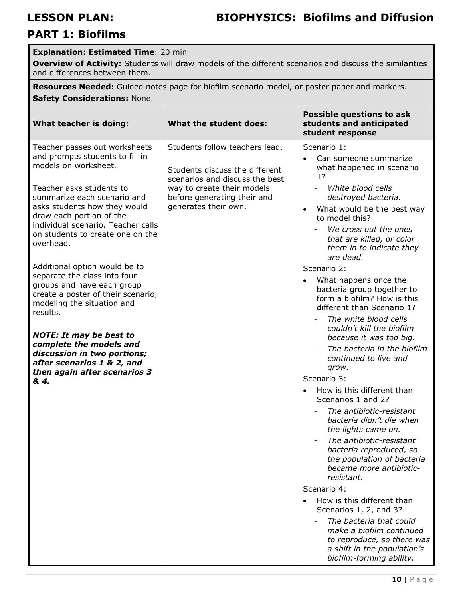| <b>Explanation: Estimated Time: 20 min</b> |  |  |  |
|--------------------------------------------|--|--|--|
|--------------------------------------------|--|--|--|

**Overview of Activity:** Students will draw models of the different scenarios and discuss the similarities and differences between them.

**Resources Needed:** Guided notes page for biofilm scenario model, or poster paper and markers. **Safety Considerations:** None.

| What teacher is doing:                                                                                                                                                                        | What the student does:                                                                             | <b>Possible questions to ask</b><br>students and anticipated<br>student response                                                             |
|-----------------------------------------------------------------------------------------------------------------------------------------------------------------------------------------------|----------------------------------------------------------------------------------------------------|----------------------------------------------------------------------------------------------------------------------------------------------|
| Teacher passes out worksheets<br>and prompts students to fill in<br>models on worksheet.                                                                                                      | Students follow teachers lead.<br>Students discuss the different<br>scenarios and discuss the best | Scenario 1:<br>Can someone summarize<br>$\bullet$<br>what happened in scenario<br>1?                                                         |
| Teacher asks students to<br>summarize each scenario and<br>asks students how they would<br>draw each portion of the<br>individual scenario. Teacher calls<br>on students to create one on the | way to create their models<br>before generating their and<br>generates their own.                  | White blood cells<br>destroyed bacteria.<br>What would be the best way<br>to model this?<br>We cross out the ones                            |
| overhead.                                                                                                                                                                                     |                                                                                                    | that are killed, or color<br>them in to indicate they<br>are dead.                                                                           |
| Additional option would be to                                                                                                                                                                 |                                                                                                    | Scenario 2:                                                                                                                                  |
| separate the class into four<br>groups and have each group<br>create a poster of their scenario,<br>modeling the situation and<br>results.                                                    |                                                                                                    | What happens once the<br>bacteria group together to<br>form a biofilm? How is this<br>different than Scenario 1?                             |
| <b>NOTE: It may be best to</b>                                                                                                                                                                |                                                                                                    | The white blood cells<br>couldn't kill the biofilm<br>because it was too big.                                                                |
| complete the models and<br>discussion in two portions;<br>after scenarios 1 & 2, and<br>then again after scenarios 3                                                                          |                                                                                                    | The bacteria in the biofilm<br>continued to live and<br>grow.                                                                                |
| & 4.                                                                                                                                                                                          |                                                                                                    | Scenario 3:                                                                                                                                  |
|                                                                                                                                                                                               |                                                                                                    | How is this different than<br>Scenarios 1 and 2?                                                                                             |
|                                                                                                                                                                                               |                                                                                                    | The antibiotic-resistant<br>bacteria didn't die when<br>the lights came on.                                                                  |
|                                                                                                                                                                                               |                                                                                                    | The antibiotic-resistant<br>bacteria reproduced, so<br>the population of bacteria<br>became more antibiotic-<br>resistant.                   |
|                                                                                                                                                                                               |                                                                                                    | Scenario 4:                                                                                                                                  |
|                                                                                                                                                                                               |                                                                                                    | How is this different than<br>Scenarios 1, 2, and 3?                                                                                         |
|                                                                                                                                                                                               |                                                                                                    | The bacteria that could<br>make a biofilm continued<br>to reproduce, so there was<br>a shift in the population's<br>biofilm-forming ability. |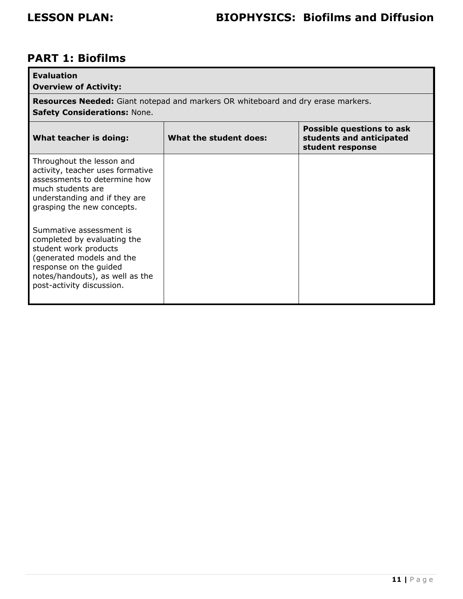| <b>Evaluation</b><br><b>Overview of Activity:</b>                                                                                                                                                      |                                                                                  |                                                                           |  |
|--------------------------------------------------------------------------------------------------------------------------------------------------------------------------------------------------------|----------------------------------------------------------------------------------|---------------------------------------------------------------------------|--|
| <b>Safety Considerations: None.</b>                                                                                                                                                                    | Resources Needed: Giant notepad and markers OR whiteboard and dry erase markers. |                                                                           |  |
| What teacher is doing:                                                                                                                                                                                 | What the student does:                                                           | Possible questions to ask<br>students and anticipated<br>student response |  |
| Throughout the lesson and<br>activity, teacher uses formative<br>assessments to determine how<br>much students are<br>understanding and if they are<br>grasping the new concepts.                      |                                                                                  |                                                                           |  |
| Summative assessment is<br>completed by evaluating the<br>student work products<br>(generated models and the<br>response on the guided<br>notes/handouts), as well as the<br>post-activity discussion. |                                                                                  |                                                                           |  |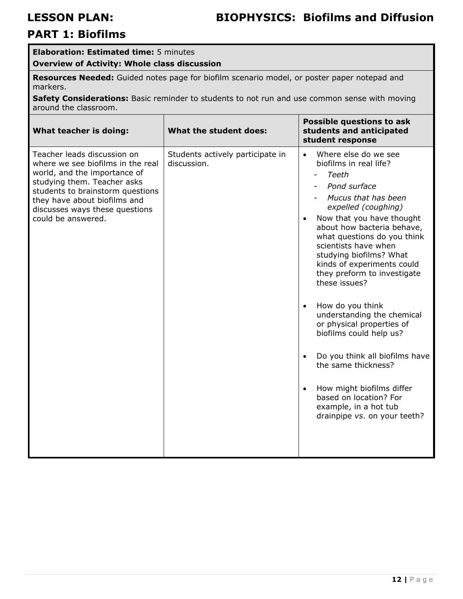### **Elaboration: Estimated time:** 5 minutes

**Overview of Activity: Whole class discussion** 

**Resources Needed:** Guided notes page for biofilm scenario model, or poster paper notepad and markers.

**Safety Considerations:** Basic reminder to students to not run and use common sense with moving around the classroom.

| What teacher is doing:                                                                                                                                                                                                                                      | What the student does:                          | <b>Possible questions to ask</b><br>students and anticipated<br>student response                                                                                                                                                                                                                                                                                                                                                                                                                                                                                                                                                                   |
|-------------------------------------------------------------------------------------------------------------------------------------------------------------------------------------------------------------------------------------------------------------|-------------------------------------------------|----------------------------------------------------------------------------------------------------------------------------------------------------------------------------------------------------------------------------------------------------------------------------------------------------------------------------------------------------------------------------------------------------------------------------------------------------------------------------------------------------------------------------------------------------------------------------------------------------------------------------------------------------|
| Teacher leads discussion on<br>where we see biofilms in the real<br>world, and the importance of<br>studying them. Teacher asks<br>students to brainstorm questions<br>they have about biofilms and<br>discusses ways these questions<br>could be answered. | Students actively participate in<br>discussion. | Where else do we see<br>$\bullet$<br>biofilms in real life?<br>Teeth<br>Pond surface<br>- Mucus that has been<br>expelled (coughing)<br>Now that you have thought<br>about how bacteria behave,<br>what questions do you think<br>scientists have when<br>studying biofilms? What<br>kinds of experiments could<br>they preform to investigate<br>these issues?<br>How do you think<br>understanding the chemical<br>or physical properties of<br>biofilms could help us?<br>Do you think all biofilms have<br>the same thickness?<br>How might biofilms differ<br>based on location? For<br>example, in a hot tub<br>drainpipe vs. on your teeth? |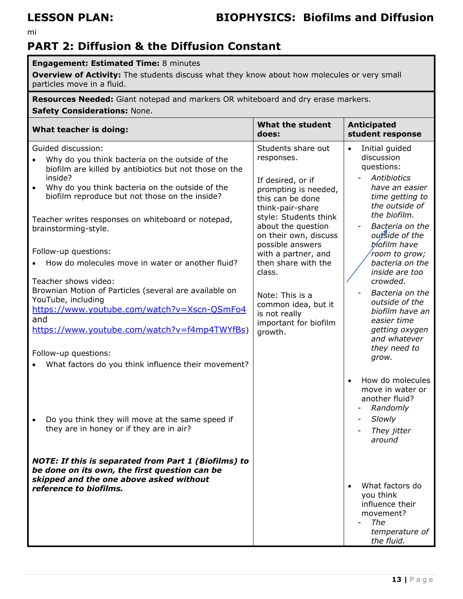mi

## **PART 2: Diffusion & the Diffusion Constant**

### **Engagement: Estimated Time:** 8 minutes

**Overview of Activity:** The students discuss what they know about how molecules or very small particles move in a fluid.

**Resources Needed:** Giant notepad and markers OR whiteboard and dry erase markers. **Safety Considerations:** None.

| What teacher is doing:                                                                                                                                  | What the student<br>does:                                                         | <b>Anticipated</b><br>student response                                                             |
|---------------------------------------------------------------------------------------------------------------------------------------------------------|-----------------------------------------------------------------------------------|----------------------------------------------------------------------------------------------------|
| Guided discussion:<br>Why do you think bacteria on the outside of the<br>biofilm are killed by antibiotics but not those on the                         | Students share out<br>responses.                                                  | Initial guided<br>$\bullet$<br>discussion<br>questions:                                            |
| inside?<br>Why do you think bacteria on the outside of the<br>$\bullet$<br>biofilm reproduce but not those on the inside?                               | If desired, or if<br>prompting is needed,<br>this can be done<br>think-pair-share | Antibiotics<br>have an easier<br>time getting to<br>the outside of<br>the biofilm.                 |
| Teacher writes responses on whiteboard or notepad,<br>brainstorming-style.                                                                              | style: Students think<br>about the question<br>on their own, discuss              | Bacteria on the<br>outside of the                                                                  |
| Follow-up questions:<br>How do molecules move in water or another fluid?<br>Teacher shows video:                                                        | possible answers<br>with a partner, and<br>then share with the<br>class.          | biofilm have<br>room to grow;<br>bacteria on the<br>inside are too<br>crowded.                     |
| Brownian Motion of Particles (several are available on<br>YouTube, including<br>https://www.youtube.com/watch?v=Xscn-QSmFo4<br>and                      | Note: This is a<br>common idea, but it<br>is not really<br>important for biofilm  | Bacteria on the<br>outside of the<br>biofilm have an<br>easier time                                |
| https://www.youtube.com/watch?v=f4mp4TWYfBs)<br>Follow-up questions:<br>What factors do you think influence their movement?                             | growth.                                                                           | getting oxygen<br>and whatever<br>they need to<br>grow.                                            |
|                                                                                                                                                         |                                                                                   | How do molecules<br>$\bullet$<br>move in water or<br>another fluid?<br>Randomly                    |
| Do you think they will move at the same speed if<br>they are in honey or if they are in air?                                                            |                                                                                   | Slowly<br>They jitter<br>around                                                                    |
| <b>NOTE: If this is separated from Part 1 (Biofilms) to</b><br>be done on its own, the first question can be<br>skipped and the one above asked without |                                                                                   |                                                                                                    |
| reference to biofilms.                                                                                                                                  |                                                                                   | What factors do<br>$\bullet$<br>you think<br>influence their<br>movement?<br>The<br>temperature of |
|                                                                                                                                                         |                                                                                   | the fluid.                                                                                         |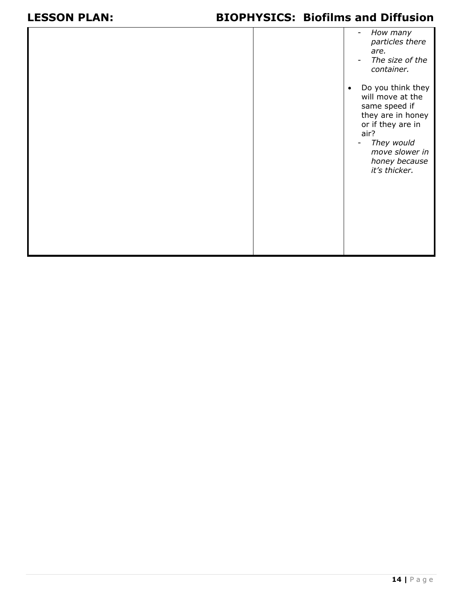|  | How many<br>particles there<br>are.<br>The size of the<br>$\blacksquare$<br>container.                                                                                                                              |
|--|---------------------------------------------------------------------------------------------------------------------------------------------------------------------------------------------------------------------|
|  | Do you think they<br>$\bullet$<br>will move at the<br>same speed if<br>they are in honey<br>or if they are in<br>air?<br>They would<br>$\overline{\phantom{a}}$<br>move slower in<br>honey because<br>it's thicker. |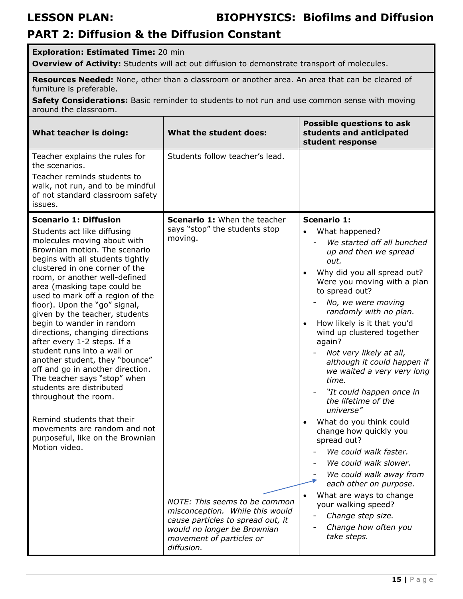## **PART 2: Diffusion & the Diffusion Constant**

### **Exploration: Estimated Time:** 20 min **Overview of Activity:** Students will act out diffusion to demonstrate transport of molecules. **Resources Needed:** None, other than a classroom or another area. An area that can be cleared of furniture is preferable. **Safety Considerations:** Basic reminder to students to not run and use common sense with moving around the classroom. **What teacher is doing: What the student does: Possible questions to ask students and anticipated student response**  Teacher explains the rules for the scenarios. Teacher reminds students to walk, not run, and to be mindful of not standard classroom safety issues. Students follow teacher's lead. **Scenario 1: Diffusion** Students act like diffusing molecules moving about with Brownian motion. The scenario begins with all students tightly clustered in one corner of the room, or another well-defined area (masking tape could be used to mark off a region of the floor). Upon the "go" signal, given by the teacher, students begin to wander in random directions, changing directions after every 1-2 steps. If a student runs into a wall or another student, they "bounce" off and go in another direction. The teacher says "stop" when students are distributed throughout the room. Remind students that their movements are random and not purposeful, like on the Brownian Motion video. **Scenario 1:** When the teacher says "stop" the students stop moving. *NOTE: This seems to be common misconception. While this would cause particles to spread out, it would no longer be Brownian movement of particles or*  **Scenario 1:**  What happened? We started off all bunched *up and then we spread out.*  Why did you all spread out? Were you moving with a plan to spread out? - *No, we were moving randomly with no plan.*  How likely is it that you'd wind up clustered together again? - *Not very likely at all, although it could happen if we waited a very very long time.*  - *"It could happen once in the lifetime of the universe"*  What do you think could change how quickly you spread out? We could walk faster. We could walk slower. We could walk away from *each other on purpose.*  What are ways to change your walking speed? - *Change step size.*  - *Change how often you take steps.*

*diffusion.*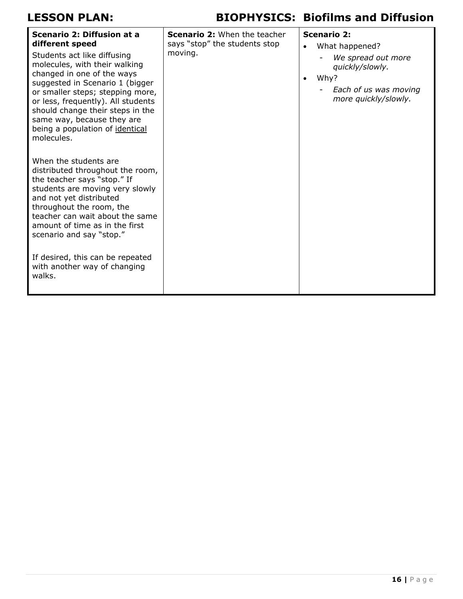| Scenario 2: Diffusion at a<br>different speed<br>Students act like diffusing<br>molecules, with their walking<br>changed in one of the ways<br>suggested in Scenario 1 (bigger<br>or smaller steps; stepping more,<br>or less, frequently). All students<br>should change their steps in the<br>same way, because they are<br>being a population of identical<br>molecules. | <b>Scenario 2:</b> When the teacher<br>says "stop" the students stop<br>moving. | $\bullet$<br>$\bullet$ | <b>Scenario 2:</b><br>What happened?<br>We spread out more<br>quickly/slowly.<br>Why?<br>Each of us was moving<br>more quickly/slowly. |
|-----------------------------------------------------------------------------------------------------------------------------------------------------------------------------------------------------------------------------------------------------------------------------------------------------------------------------------------------------------------------------|---------------------------------------------------------------------------------|------------------------|----------------------------------------------------------------------------------------------------------------------------------------|
| When the students are<br>distributed throughout the room,<br>the teacher says "stop." If<br>students are moving very slowly<br>and not yet distributed<br>throughout the room, the<br>teacher can wait about the same<br>amount of time as in the first<br>scenario and say "stop."<br>If desired, this can be repeated<br>with another way of changing<br>walks.           |                                                                                 |                        |                                                                                                                                        |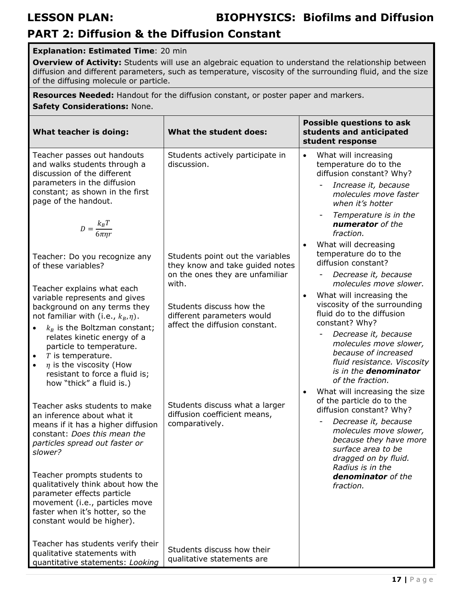## **PART 2: Diffusion & the Diffusion Constant**

### **Explanation: Estimated Time**: 20 min

**Overview of Activity:** Students will use an algebraic equation to understand the relationship between diffusion and different parameters, such as temperature, viscosity of the surrounding fluid, and the size of the diffusing molecule or particle.

**Resources Needed:** Handout for the diffusion constant, or poster paper and markers.

### **Safety Considerations:** None.

| What teacher is doing:                                                                                                                                                                                                                                                                                                                                                                                                                                                                                                                                                                                                                                                                                                                                                                                                                                                    | What the student does:                                                                                                                                                                                                                                                                                                                             | <b>Possible questions to ask</b><br>students and anticipated<br>student response                                                                                                                                                                                                                                                                                                                                                                                                                                                                                                                                                                                                                                                                                                                |
|---------------------------------------------------------------------------------------------------------------------------------------------------------------------------------------------------------------------------------------------------------------------------------------------------------------------------------------------------------------------------------------------------------------------------------------------------------------------------------------------------------------------------------------------------------------------------------------------------------------------------------------------------------------------------------------------------------------------------------------------------------------------------------------------------------------------------------------------------------------------------|----------------------------------------------------------------------------------------------------------------------------------------------------------------------------------------------------------------------------------------------------------------------------------------------------------------------------------------------------|-------------------------------------------------------------------------------------------------------------------------------------------------------------------------------------------------------------------------------------------------------------------------------------------------------------------------------------------------------------------------------------------------------------------------------------------------------------------------------------------------------------------------------------------------------------------------------------------------------------------------------------------------------------------------------------------------------------------------------------------------------------------------------------------------|
| Teacher passes out handouts<br>and walks students through a<br>discussion of the different<br>parameters in the diffusion<br>constant; as shown in the first<br>page of the handout.<br>$D = \frac{k_B T}{6 \pi \eta r}$<br>Teacher: Do you recognize any<br>of these variables?<br>Teacher explains what each<br>variable represents and gives<br>background on any terms they<br>not familiar with (i.e., $k_B$ , $\eta$ ).<br>$k_R$ is the Boltzman constant;<br>$\bullet$<br>relates kinetic energy of a<br>particle to temperature.<br>$T$ is temperature.<br>$\bullet$<br>$\eta$ is the viscosity (How<br>$\bullet$<br>resistant to force a fluid is;<br>how "thick" a fluid is.)<br>Teacher asks students to make<br>an inference about what it<br>means if it has a higher diffusion<br>constant: Does this mean the<br>particles spread out faster or<br>slower? | Students actively participate in<br>discussion.<br>Students point out the variables<br>they know and take guided notes<br>on the ones they are unfamiliar<br>with.<br>Students discuss how the<br>different parameters would<br>affect the diffusion constant.<br>Students discuss what a larger<br>diffusion coefficient means,<br>comparatively. | What will increasing<br>temperature do to the<br>diffusion constant? Why?<br>Increase it, because<br>molecules move faster<br>when it's hotter<br>Temperature is in the<br>numerator of the<br>fraction.<br>What will decreasing<br>temperature do to the<br>diffusion constant?<br>Decrease it, because<br>molecules move slower.<br>What will increasing the<br>viscosity of the surrounding<br>fluid do to the diffusion<br>constant? Why?<br>Decrease it, because<br>molecules move slower,<br>because of increased<br>fluid resistance. Viscosity<br>is in the denominator<br>of the fraction.<br>What will increasing the size<br>of the particle do to the<br>diffusion constant? Why?<br>Decrease it, because<br>molecules move slower,<br>because they have more<br>surface area to be |
| Teacher prompts students to<br>qualitatively think about how the<br>parameter effects particle<br>movement (i.e., particles move<br>faster when it's hotter, so the<br>constant would be higher).                                                                                                                                                                                                                                                                                                                                                                                                                                                                                                                                                                                                                                                                         |                                                                                                                                                                                                                                                                                                                                                    | dragged on by fluid.<br>Radius is in the<br>denominator of the<br>fraction.                                                                                                                                                                                                                                                                                                                                                                                                                                                                                                                                                                                                                                                                                                                     |
| Teacher has students verify their<br>qualitative statements with<br>quantitative statements: Looking                                                                                                                                                                                                                                                                                                                                                                                                                                                                                                                                                                                                                                                                                                                                                                      | Students discuss how their<br>qualitative statements are                                                                                                                                                                                                                                                                                           |                                                                                                                                                                                                                                                                                                                                                                                                                                                                                                                                                                                                                                                                                                                                                                                                 |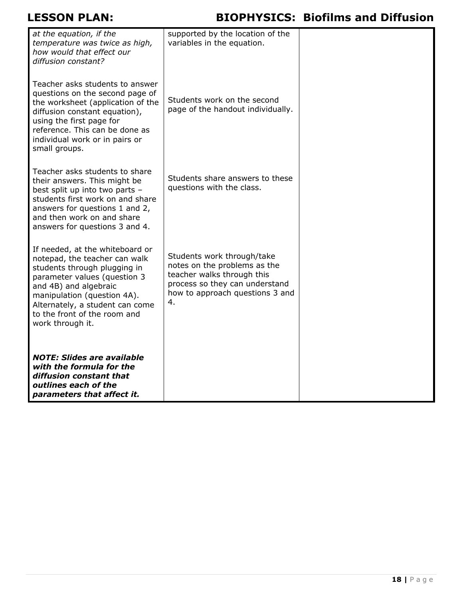| at the equation, if the<br>temperature was twice as high,<br>how would that effect our<br>diffusion constant?                                                                                                                                                                   | supported by the location of the<br>variables in the equation.                                                                                                      |  |
|---------------------------------------------------------------------------------------------------------------------------------------------------------------------------------------------------------------------------------------------------------------------------------|---------------------------------------------------------------------------------------------------------------------------------------------------------------------|--|
| Teacher asks students to answer<br>questions on the second page of<br>the worksheet (application of the<br>diffusion constant equation),<br>using the first page for<br>reference. This can be done as<br>individual work or in pairs or<br>small groups.                       | Students work on the second<br>page of the handout individually.                                                                                                    |  |
| Teacher asks students to share<br>their answers. This might be<br>best split up into two parts -<br>students first work on and share<br>answers for questions 1 and 2,<br>and then work on and share<br>answers for questions 3 and 4.                                          | Students share answers to these<br>questions with the class.                                                                                                        |  |
| If needed, at the whiteboard or<br>notepad, the teacher can walk<br>students through plugging in<br>parameter values (question 3<br>and 4B) and algebraic<br>manipulation (question 4A).<br>Alternately, a student can come<br>to the front of the room and<br>work through it. | Students work through/take<br>notes on the problems as the<br>teacher walks through this<br>process so they can understand<br>how to approach questions 3 and<br>4. |  |
| <b>NOTE: Slides are available</b><br>with the formula for the<br>diffusion constant that<br>outlines each of the<br>parameters that affect it.                                                                                                                                  |                                                                                                                                                                     |  |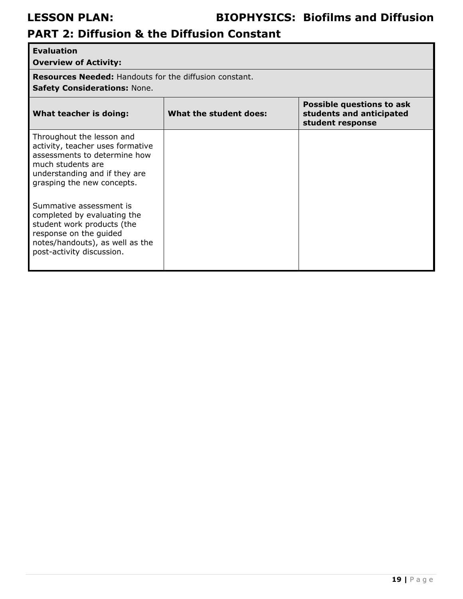# **PART 2: Diffusion & the Diffusion Constant**

| <b>Evaluation</b>                                                                                                                                                                                                                           |                        |                                                                           |  |
|---------------------------------------------------------------------------------------------------------------------------------------------------------------------------------------------------------------------------------------------|------------------------|---------------------------------------------------------------------------|--|
| <b>Overview of Activity:</b>                                                                                                                                                                                                                |                        |                                                                           |  |
| <b>Resources Needed: Handouts for the diffusion constant.</b>                                                                                                                                                                               |                        |                                                                           |  |
| <b>Safety Considerations: None.</b>                                                                                                                                                                                                         |                        |                                                                           |  |
| What teacher is doing:                                                                                                                                                                                                                      | What the student does: | Possible questions to ask<br>students and anticipated<br>student response |  |
| Throughout the lesson and<br>activity, teacher uses formative<br>assessments to determine how<br>much students are<br>understanding and if they are<br>grasping the new concepts.<br>Summative assessment is<br>completed by evaluating the |                        |                                                                           |  |
| student work products (the<br>response on the guided<br>notes/handouts), as well as the<br>post-activity discussion.                                                                                                                        |                        |                                                                           |  |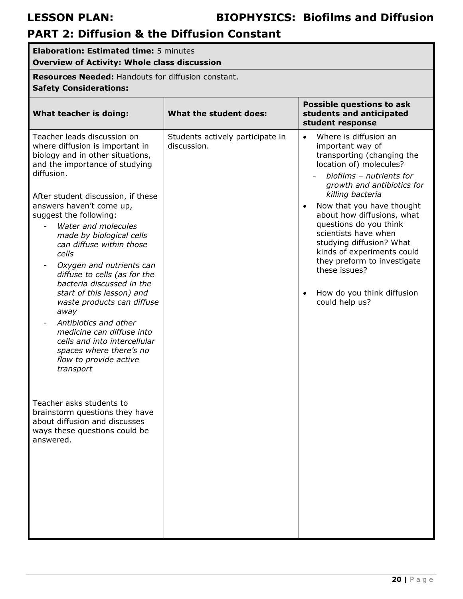# **PART 2: Diffusion & the Diffusion Constant**

| <b>Elaboration: Estimated time: 5 minutes</b><br><b>Overview of Activity: Whole class discussion</b>                                                                                                                                                                                                                                                                                                                                                                                                                                                                                                                                                                                   |                                                 |                                                                                                                                                                                                                                                                                                                                                                                                                                                                                   |  |
|----------------------------------------------------------------------------------------------------------------------------------------------------------------------------------------------------------------------------------------------------------------------------------------------------------------------------------------------------------------------------------------------------------------------------------------------------------------------------------------------------------------------------------------------------------------------------------------------------------------------------------------------------------------------------------------|-------------------------------------------------|-----------------------------------------------------------------------------------------------------------------------------------------------------------------------------------------------------------------------------------------------------------------------------------------------------------------------------------------------------------------------------------------------------------------------------------------------------------------------------------|--|
| Resources Needed: Handouts for diffusion constant.<br><b>Safety Considerations:</b>                                                                                                                                                                                                                                                                                                                                                                                                                                                                                                                                                                                                    |                                                 |                                                                                                                                                                                                                                                                                                                                                                                                                                                                                   |  |
| What teacher is doing:                                                                                                                                                                                                                                                                                                                                                                                                                                                                                                                                                                                                                                                                 | What the student does:                          | <b>Possible questions to ask</b><br>students and anticipated<br>student response                                                                                                                                                                                                                                                                                                                                                                                                  |  |
| Teacher leads discussion on<br>where diffusion is important in<br>biology and in other situations,<br>and the importance of studying<br>diffusion.<br>After student discussion, if these<br>answers haven't come up,<br>suggest the following:<br>Water and molecules<br>made by biological cells<br>can diffuse within those<br>cells<br>Oxygen and nutrients can<br>diffuse to cells (as for the<br>bacteria discussed in the<br>start of this lesson) and<br>waste products can diffuse<br>away<br>Antibiotics and other<br>$\overline{\phantom{a}}$<br>medicine can diffuse into<br>cells and into intercellular<br>spaces where there's no<br>flow to provide active<br>transport | Students actively participate in<br>discussion. | Where is diffusion an<br>$\bullet$<br>important way of<br>transporting (changing the<br>location of) molecules?<br>biofilms - nutrients for<br>growth and antibiotics for<br>killing bacteria<br>Now that you have thought<br>$\bullet$<br>about how diffusions, what<br>questions do you think<br>scientists have when<br>studying diffusion? What<br>kinds of experiments could<br>they preform to investigate<br>these issues?<br>How do you think diffusion<br>could help us? |  |
| Teacher asks students to<br>brainstorm questions they have<br>about diffusion and discusses<br>ways these questions could be<br>answered.                                                                                                                                                                                                                                                                                                                                                                                                                                                                                                                                              |                                                 |                                                                                                                                                                                                                                                                                                                                                                                                                                                                                   |  |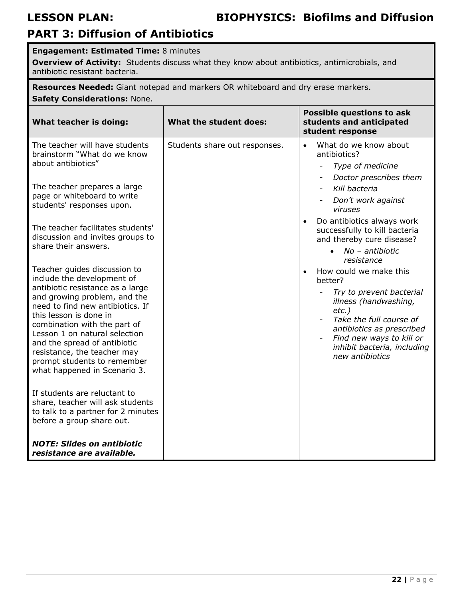## **PART 3: Diffusion of Antibiotics**

### **Engagement: Estimated Time:** 8 minutes

**Overview of Activity:** Students discuss what they know about antibiotics, antimicrobials, and antibiotic resistant bacteria.

**Resources Needed:** Giant notepad and markers OR whiteboard and dry erase markers. **Safety Considerations:** None.

**What teacher is doing: What the student does: Possible questions to ask students and anticipated student response**  The teacher will have students brainstorm "What do we know about antibiotics" The teacher prepares a large page or whiteboard to write students' responses upon. The teacher facilitates students' discussion and invites groups to share their answers. Teacher guides discussion to include the development of antibiotic resistance as a large and growing problem, and the need to find new antibiotics. If this lesson is done in combination with the part of Lesson 1 on natural selection and the spread of antibiotic resistance, the teacher may prompt students to remember what happened in Scenario 3. If students are reluctant to share, teacher will ask students to talk to a partner for 2 minutes before a group share out. *NOTE: Slides on antibiotic resistance are available.* Students share out responses.  $\|\cdot\|$  What do we know about antibiotics? - *Type of medicine*  - *Doctor prescribes them*  - *Kill bacteria*  - *Don't work against viruses*  Do antibiotics always work successfully to kill bacteria and thereby cure disease? *No – antibiotic resistance*  • How could we make this better? - *Try to prevent bacterial illness (handwashing, etc.)*  **Take the full course of** *antibiotics as prescribed*  - *Find new ways to kill or inhibit bacteria, including new antibiotics*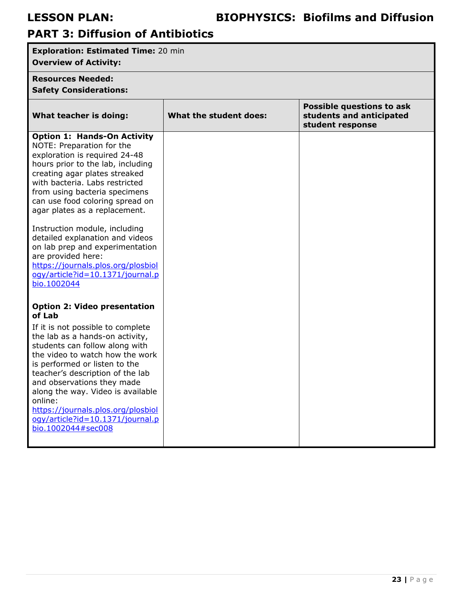# **PART 3: Diffusion of Antibiotics**

| <b>Exploration: Estimated Time: 20 min</b><br><b>Overview of Activity:</b>                                                                                                                                                                                                                                                                                                                                                                                                                                                          |                        |                                                                           |
|-------------------------------------------------------------------------------------------------------------------------------------------------------------------------------------------------------------------------------------------------------------------------------------------------------------------------------------------------------------------------------------------------------------------------------------------------------------------------------------------------------------------------------------|------------------------|---------------------------------------------------------------------------|
| <b>Resources Needed:</b>                                                                                                                                                                                                                                                                                                                                                                                                                                                                                                            |                        |                                                                           |
| <b>Safety Considerations:</b>                                                                                                                                                                                                                                                                                                                                                                                                                                                                                                       |                        |                                                                           |
| What teacher is doing:                                                                                                                                                                                                                                                                                                                                                                                                                                                                                                              | What the student does: | Possible questions to ask<br>students and anticipated<br>student response |
| <b>Option 1: Hands-On Activity</b><br>NOTE: Preparation for the<br>exploration is required 24-48<br>hours prior to the lab, including<br>creating agar plates streaked<br>with bacteria. Labs restricted<br>from using bacteria specimens<br>can use food coloring spread on<br>agar plates as a replacement.<br>Instruction module, including<br>detailed explanation and videos<br>on lab prep and experimentation<br>are provided here:<br>https://journals.plos.org/plosbiol<br>ogy/article?id=10.1371/journal.p<br>bio.1002044 |                        |                                                                           |
| <b>Option 2: Video presentation</b><br>of Lab<br>If it is not possible to complete<br>the lab as a hands-on activity,<br>students can follow along with<br>the video to watch how the work<br>is performed or listen to the<br>teacher's description of the lab<br>and observations they made<br>along the way. Video is available<br>online:<br>https://journals.plos.org/plosbiol<br>ogy/article?id=10.1371/journal.p<br>bio.1002044#sec008                                                                                       |                        |                                                                           |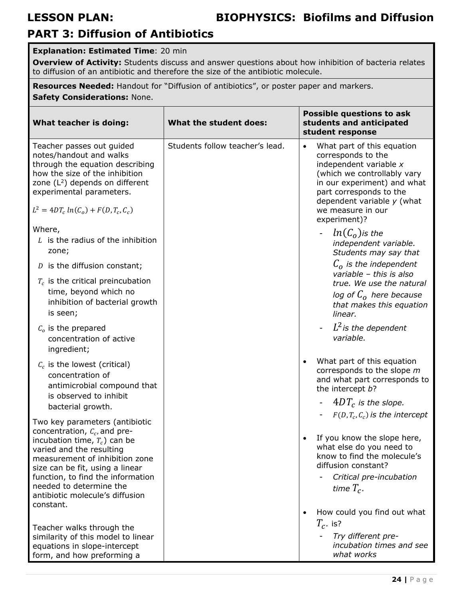## **PART 3: Diffusion of Antibiotics**

### **Explanation: Estimated Time**: 20 min

**Overview of Activity:** Students discuss and answer questions about how inhibition of bacteria relates to diffusion of an antibiotic and therefore the size of the antibiotic molecule.

**Resources Needed:** Handout for "Diffusion of antibiotics", or poster paper and markers.

**Safety Considerations:** None.

| What teacher is doing:                                                                                                                                                                                                               | What the student does:          | <b>Possible questions to ask</b><br>students and anticipated<br>student response                                                                                                                                                                      |
|--------------------------------------------------------------------------------------------------------------------------------------------------------------------------------------------------------------------------------------|---------------------------------|-------------------------------------------------------------------------------------------------------------------------------------------------------------------------------------------------------------------------------------------------------|
| Teacher passes out guided<br>notes/handout and walks<br>through the equation describing<br>how the size of the inhibition<br>zone $(L^2)$ depends on different<br>experimental parameters.<br>$L^2 = 4DT_c ln(C_o) + F(D, T_c, C_c)$ | Students follow teacher's lead. | What part of this equation<br>$\bullet$<br>corresponds to the<br>independent variable x<br>(which we controllably vary<br>in our experiment) and what<br>part corresponds to the<br>dependent variable $y$ (what<br>we measure in our<br>experiment)? |
| Where,<br>$L$ is the radius of the inhibition<br>zone;                                                                                                                                                                               |                                 | $ln(Co)$ is the<br>independent variable.<br>Students may say that                                                                                                                                                                                     |
| $D$ is the diffusion constant;                                                                                                                                                                                                       |                                 | $C_{\alpha}$ is the independent<br>variable - this is also                                                                                                                                                                                            |
| $T_c$ is the critical preincubation<br>time, beyond which no<br>inhibition of bacterial growth<br>is seen;                                                                                                                           |                                 | true. We use the natural<br>log of $Co$ here because<br>that makes this equation<br>linear.                                                                                                                                                           |
| $Co$ is the prepared<br>concentration of active<br>ingredient;                                                                                                                                                                       |                                 | $L^2$ is the dependent<br>variable.                                                                                                                                                                                                                   |
| $C_c$ is the lowest (critical)<br>concentration of<br>antimicrobial compound that<br>is observed to inhibit                                                                                                                          |                                 | What part of this equation<br>corresponds to the slope m<br>and what part corresponds to<br>the intercept b?                                                                                                                                          |
| bacterial growth.                                                                                                                                                                                                                    |                                 | $4DT_c$ is the slope.<br>$F(D, T_c, C_c)$ is the intercept                                                                                                                                                                                            |
| Two key parameters (antibiotic                                                                                                                                                                                                       |                                 |                                                                                                                                                                                                                                                       |
| concentration, $C_c$ , and pre-<br>incubation time, $T_c$ ) can be<br>varied and the resulting<br>measurement of inhibition zone<br>size can be fit, using a linear                                                                  |                                 | If you know the slope here,<br>what else do you need to<br>know to find the molecule's<br>diffusion constant?                                                                                                                                         |
| function, to find the information<br>needed to determine the<br>antibiotic molecule's diffusion                                                                                                                                      |                                 | Critical pre-incubation<br>time $T_c$ .                                                                                                                                                                                                               |
| constant.                                                                                                                                                                                                                            |                                 | How could you find out what<br>$\bullet$                                                                                                                                                                                                              |
| Teacher walks through the                                                                                                                                                                                                            |                                 | $T_c$ . is?                                                                                                                                                                                                                                           |
| similarity of this model to linear<br>equations in slope-intercept<br>form, and how preforming a                                                                                                                                     |                                 | Try different pre-<br>incubation times and see<br>what works                                                                                                                                                                                          |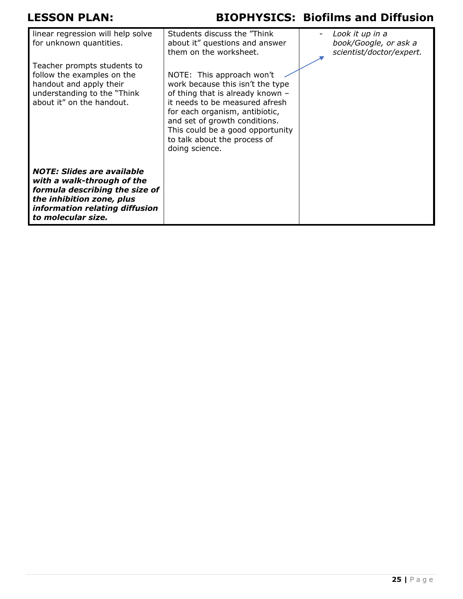| linear regression will help solve<br>for unknown quantities.                                                                                                                           | Students discuss the "Think"<br>about it" questions and answer<br>them on the worksheet.                                                                                                                                                                                                     | Look it up in a<br>book/Google, or ask a<br>scientist/doctor/expert. |
|----------------------------------------------------------------------------------------------------------------------------------------------------------------------------------------|----------------------------------------------------------------------------------------------------------------------------------------------------------------------------------------------------------------------------------------------------------------------------------------------|----------------------------------------------------------------------|
| Teacher prompts students to<br>follow the examples on the<br>handout and apply their<br>understanding to the "Think"<br>about it" on the handout.                                      | NOTE: This approach won't<br>work because this isn't the type<br>of thing that is already known -<br>it needs to be measured afresh<br>for each organism, antibiotic,<br>and set of growth conditions.<br>This could be a good opportunity<br>to talk about the process of<br>doing science. |                                                                      |
| <b>NOTE: Slides are available</b><br>with a walk-through of the<br>formula describing the size of<br>the inhibition zone, plus<br>information relating diffusion<br>to molecular size. |                                                                                                                                                                                                                                                                                              |                                                                      |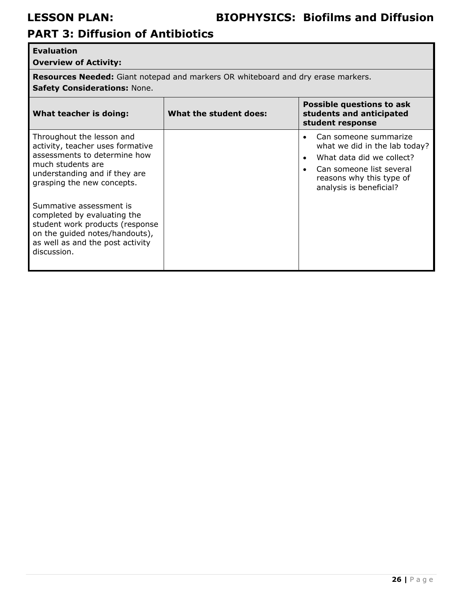# **PART 3: Diffusion of Antibiotics**

### **Evaluation**

**Overview of Activity:** 

**Resources Needed:** Giant notepad and markers OR whiteboard and dry erase markers. **Safety Considerations:** None.

| What teacher is doing:                                                                                                                                                                                                                                                                                                                                              | What the student does: | Possible questions to ask<br>students and anticipated<br>student response                                                                                              |
|---------------------------------------------------------------------------------------------------------------------------------------------------------------------------------------------------------------------------------------------------------------------------------------------------------------------------------------------------------------------|------------------------|------------------------------------------------------------------------------------------------------------------------------------------------------------------------|
| Throughout the lesson and<br>activity, teacher uses formative<br>assessments to determine how<br>much students are<br>understanding and if they are<br>grasping the new concepts.<br>Summative assessment is<br>completed by evaluating the<br>student work products (response<br>on the guided notes/handouts),<br>as well as and the post activity<br>discussion. |                        | Can someone summarize<br>what we did in the lab today?<br>What data did we collect?<br>Can someone list several<br>reasons why this type of<br>analysis is beneficial? |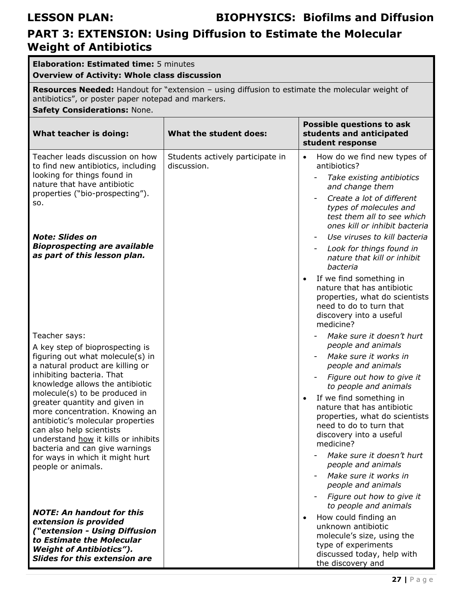## **PART 3: EXTENSION: Using Diffusion to Estimate the Molecular Weight of Antibiotics**

| <b>Elaboration: Estimated time: 5 minutes</b><br><b>Overview of Activity: Whole class discussion</b>                                                                                                                                                                                                                                                                                                                                                                                            |                                                 |                                                                                                                                                                                                                                                                                                                                                                                                                                                                                                                                                                                                               |  |
|-------------------------------------------------------------------------------------------------------------------------------------------------------------------------------------------------------------------------------------------------------------------------------------------------------------------------------------------------------------------------------------------------------------------------------------------------------------------------------------------------|-------------------------------------------------|---------------------------------------------------------------------------------------------------------------------------------------------------------------------------------------------------------------------------------------------------------------------------------------------------------------------------------------------------------------------------------------------------------------------------------------------------------------------------------------------------------------------------------------------------------------------------------------------------------------|--|
| Resources Needed: Handout for "extension - using diffusion to estimate the molecular weight of<br>antibiotics", or poster paper notepad and markers.<br><b>Safety Considerations: None.</b>                                                                                                                                                                                                                                                                                                     |                                                 |                                                                                                                                                                                                                                                                                                                                                                                                                                                                                                                                                                                                               |  |
| What teacher is doing:                                                                                                                                                                                                                                                                                                                                                                                                                                                                          | What the student does:                          | <b>Possible questions to ask</b><br>students and anticipated<br>student response                                                                                                                                                                                                                                                                                                                                                                                                                                                                                                                              |  |
| Teacher leads discussion on how<br>to find new antibiotics, including<br>looking for things found in<br>nature that have antibiotic<br>properties ("bio-prospecting").<br>so.<br><b>Note: Slides on</b><br><b>Bioprospecting are available</b><br>as part of this lesson plan.                                                                                                                                                                                                                  | Students actively participate in<br>discussion. | How do we find new types of<br>$\bullet$<br>antibiotics?<br>Take existing antibiotics<br>and change them<br>Create a lot of different<br>types of molecules and<br>test them all to see which<br>ones kill or inhibit bacteria<br>Use viruses to kill bacteria<br>Look for things found in<br>nature that kill or inhibit<br>bacteria<br>If we find something in<br>$\bullet$                                                                                                                                                                                                                                 |  |
| Teacher says:<br>A key step of bioprospecting is<br>figuring out what molecule(s) in<br>a natural product are killing or<br>inhibiting bacteria. That<br>knowledge allows the antibiotic<br>molecule(s) to be produced in<br>greater quantity and given in<br>more concentration. Knowing an<br>antibiotic's molecular properties<br>can also help scientists<br>understand how it kills or inhibits<br>bacteria and can give warnings<br>for ways in which it might hurt<br>people or animals. |                                                 | nature that has antibiotic<br>properties, what do scientists<br>need to do to turn that<br>discovery into a useful<br>medicine?<br>Make sure it doesn't hurt<br>people and animals<br>Make sure it works in<br>people and animals<br>Figure out how to give it<br>to people and animals<br>If we find something in<br>nature that has antibiotic<br>properties, what do scientists<br>need to do to turn that<br>discovery into a useful<br>medicine?<br>Make sure it doesn't hurt<br>people and animals<br>Make sure it works in<br>people and animals<br>Figure out how to give it<br>to people and animals |  |
| <b>NOTE: An handout for this</b><br>extension is provided<br>("extension - Using Diffusion<br>to Estimate the Molecular<br><b>Weight of Antibiotics").</b><br><b>Slides for this extension are</b>                                                                                                                                                                                                                                                                                              |                                                 | How could finding an<br>$\bullet$<br>unknown antibiotic<br>molecule's size, using the<br>type of experiments<br>discussed today, help with<br>the discovery and                                                                                                                                                                                                                                                                                                                                                                                                                                               |  |